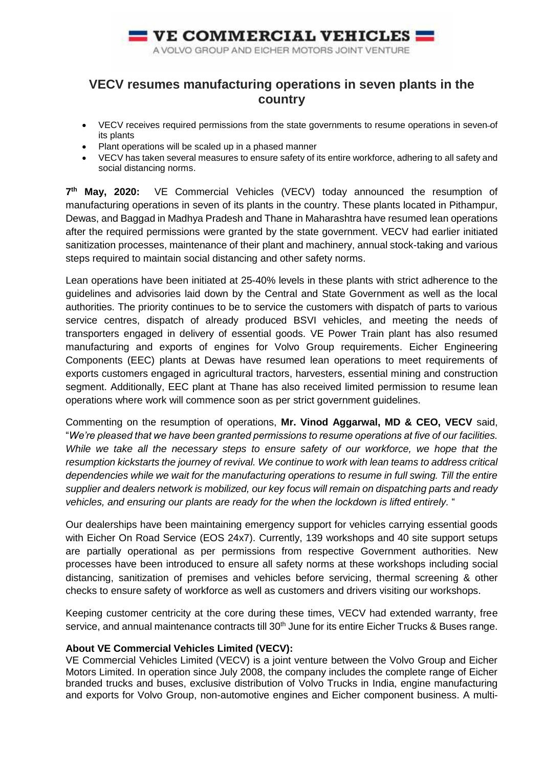

## **VECV resumes manufacturing operations in seven plants in the country**

- VECV receives required permissions from the state governments to resume operations in seven of its plants
- Plant operations will be scaled up in a phased manner
- VECV has taken several measures to ensure safety of its entire workforce, adhering to all safety and social distancing norms.

7<sup>th</sup> May, 2020: VE Commercial Vehicles (VECV) today announced the resumption of manufacturing operations in seven of its plants in the country. These plants located in Pithampur, Dewas, and Baggad in Madhya Pradesh and Thane in Maharashtra have resumed lean operations after the required permissions were granted by the state government. VECV had earlier initiated sanitization processes, maintenance of their plant and machinery, annual stock-taking and various steps required to maintain social distancing and other safety norms.

Lean operations have been initiated at 25-40% levels in these plants with strict adherence to the guidelines and advisories laid down by the Central and State Government as well as the local authorities. The priority continues to be to service the customers with dispatch of parts to various service centres, dispatch of already produced BSVI vehicles, and meeting the needs of transporters engaged in delivery of essential goods. VE Power Train plant has also resumed manufacturing and exports of engines for Volvo Group requirements. Eicher Engineering Components (EEC) plants at Dewas have resumed lean operations to meet requirements of exports customers engaged in agricultural tractors, harvesters, essential mining and construction segment. Additionally, EEC plant at Thane has also received limited permission to resume lean operations where work will commence soon as per strict government guidelines.

Commenting on the resumption of operations, **Mr. Vinod Aggarwal, MD & CEO, VECV** said, "*We're pleased that we have been granted permissions to resume operations at five of our facilities. While we take all the necessary steps to ensure safety of our workforce, we hope that the resumption kickstarts the journey of revival. We continue to work with lean teams to address critical dependencies while we wait for the manufacturing operations to resume in full swing. Till the entire supplier and dealers network is mobilized, our key focus will remain on dispatching parts and ready vehicles, and ensuring our plants are ready for the when the lockdown is lifted entirely.* "

Our dealerships have been maintaining emergency support for vehicles carrying essential goods with Eicher On Road Service (EOS 24x7). Currently, 139 workshops and 40 site support setups are partially operational as per permissions from respective Government authorities. New processes have been introduced to ensure all safety norms at these workshops including social distancing, sanitization of premises and vehicles before servicing, thermal screening & other checks to ensure safety of workforce as well as customers and drivers visiting our workshops.

Keeping customer centricity at the core during these times, VECV had extended warranty, free service, and annual maintenance contracts till 30<sup>th</sup> June for its entire Eicher Trucks & Buses range.

## **About VE Commercial Vehicles Limited (VECV):**

VE Commercial Vehicles Limited (VECV) is a joint venture between the Volvo Group and Eicher Motors Limited. In operation since July 2008, the company includes the complete range of Eicher branded trucks and buses, exclusive distribution of Volvo Trucks in India, engine manufacturing and exports for Volvo Group, non-automotive engines and Eicher component business. A multi-